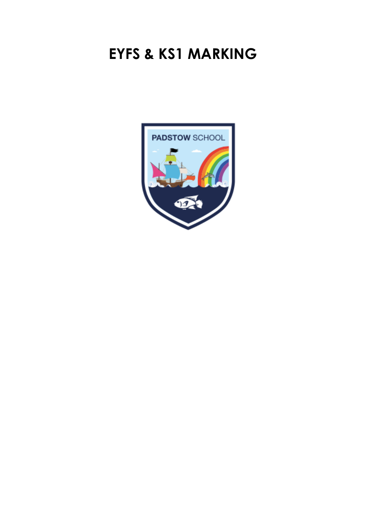# **EYFS & KS1 MARKING**

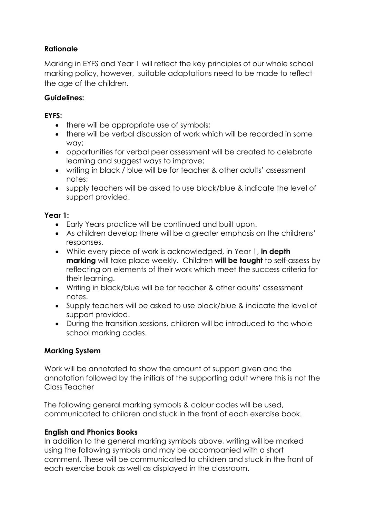## **Rationale**

Marking in EYFS and Year 1 will reflect the key principles of our whole school marking policy, however, suitable adaptations need to be made to reflect the age of the children.

#### **Guidelines:**

### **EYFS:**

- there will be appropriate use of symbols;
- there will be verbal discussion of work which will be recorded in some way;
- opportunities for verbal peer assessment will be created to celebrate learning and suggest ways to improve;
- writing in black / blue will be for teacher & other adults' assessment notes;
- supply teachers will be asked to use black/blue & indicate the level of support provided.

#### **Year 1:**

- Early Years practice will be continued and built upon.
- As children develop there will be a greater emphasis on the childrens' responses.
- While every piece of work is acknowledged, in Year 1, **in depth marking** will take place weekly. Children **will be taught** to self-assess by reflecting on elements of their work which meet the success criteria for their learning.
- Writing in black/blue will be for teacher & other adults' assessment notes.
- Supply teachers will be asked to use black/blue & indicate the level of support provided.
- During the transition sessions, children will be introduced to the whole school marking codes.

#### **Marking System**

Work will be annotated to show the amount of support given and the annotation followed by the initials of the supporting adult where this is not the Class Teacher

The following general marking symbols & colour codes will be used, communicated to children and stuck in the front of each exercise book.

#### **English and Phonics Books**

In addition to the general marking symbols above, writing will be marked using the following symbols and may be accompanied with a short comment. These will be communicated to children and stuck in the front of each exercise book as well as displayed in the classroom.